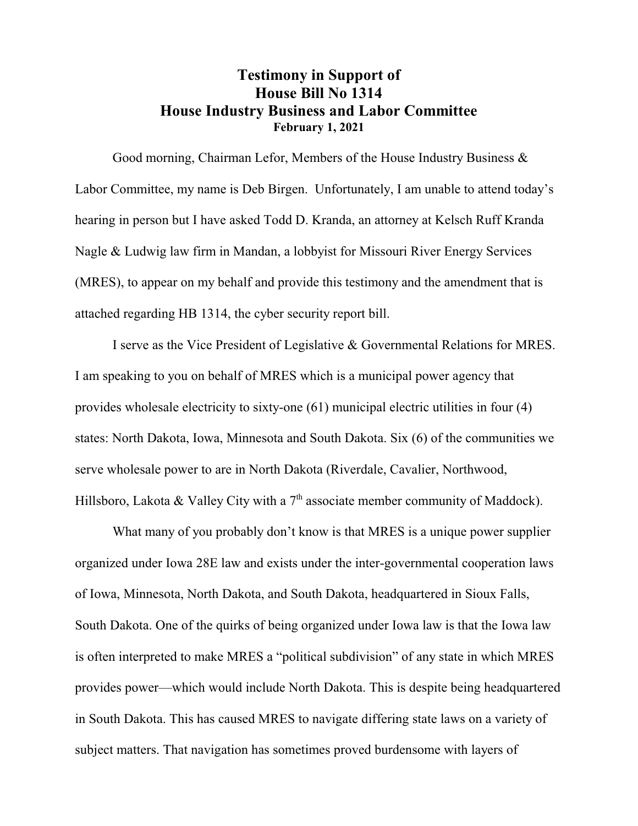## **Testimony in Support of House Bill No 1314 House Industry Business and Labor Committee February 1, 2021**

Good morning, Chairman Lefor, Members of the House Industry Business & Labor Committee, my name is Deb Birgen. Unfortunately, I am unable to attend today's hearing in person but I have asked Todd D. Kranda, an attorney at Kelsch Ruff Kranda Nagle & Ludwig law firm in Mandan, a lobbyist for Missouri River Energy Services (MRES), to appear on my behalf and provide this testimony and the amendment that is attached regarding HB 1314, the cyber security report bill.

I serve as the Vice President of Legislative & Governmental Relations for MRES. I am speaking to you on behalf of MRES which is a municipal power agency that provides wholesale electricity to sixty-one (61) municipal electric utilities in four (4) states: North Dakota, Iowa, Minnesota and South Dakota. Six (6) of the communities we serve wholesale power to are in North Dakota (Riverdale, Cavalier, Northwood, Hillsboro, Lakota & Valley City with a  $7<sup>th</sup>$  associate member community of Maddock).

What many of you probably don't know is that MRES is a unique power supplier organized under Iowa 28E law and exists under the inter-governmental cooperation laws of Iowa, Minnesota, North Dakota, and South Dakota, headquartered in Sioux Falls, South Dakota. One of the quirks of being organized under Iowa law is that the Iowa law is often interpreted to make MRES a "political subdivision" of any state in which MRES provides power—which would include North Dakota. This is despite being headquartered in South Dakota. This has caused MRES to navigate differing state laws on a variety of subject matters. That navigation has sometimes proved burdensome with layers of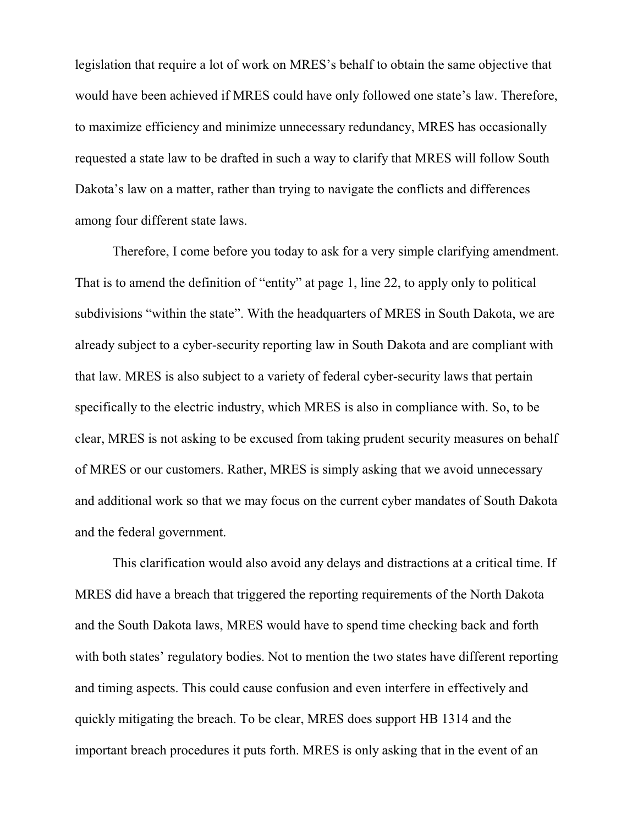legislation that require a lot of work on MRES's behalf to obtain the same objective that would have been achieved if MRES could have only followed one state's law. Therefore, to maximize efficiency and minimize unnecessary redundancy, MRES has occasionally requested a state law to be drafted in such a way to clarify that MRES will follow South Dakota's law on a matter, rather than trying to navigate the conflicts and differences among four different state laws.

Therefore, I come before you today to ask for a very simple clarifying amendment. That is to amend the definition of "entity" at page 1, line 22, to apply only to political subdivisions "within the state". With the headquarters of MRES in South Dakota, we are already subject to a cyber-security reporting law in South Dakota and are compliant with that law. MRES is also subject to a variety of federal cyber-security laws that pertain specifically to the electric industry, which MRES is also in compliance with. So, to be clear, MRES is not asking to be excused from taking prudent security measures on behalf of MRES or our customers. Rather, MRES is simply asking that we avoid unnecessary and additional work so that we may focus on the current cyber mandates of South Dakota and the federal government.

This clarification would also avoid any delays and distractions at a critical time. If MRES did have a breach that triggered the reporting requirements of the North Dakota and the South Dakota laws, MRES would have to spend time checking back and forth with both states' regulatory bodies. Not to mention the two states have different reporting and timing aspects. This could cause confusion and even interfere in effectively and quickly mitigating the breach. To be clear, MRES does support HB 1314 and the important breach procedures it puts forth. MRES is only asking that in the event of an